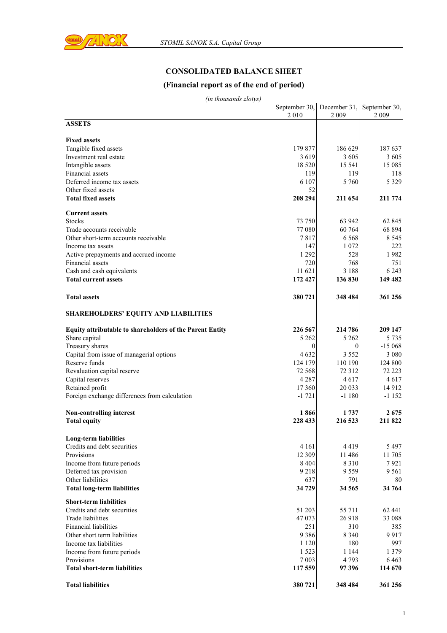

### **CONSOLIDATED BALANCE SHEET**

#### **(Financial report as of the end of period)**

*(in thousands zlotys)*

|                                                                 | 2010             | September 30, December 31,<br>2 0 0 9 | September 30,<br>2 0 0 9 |
|-----------------------------------------------------------------|------------------|---------------------------------------|--------------------------|
| <b>ASSETS</b>                                                   |                  |                                       |                          |
|                                                                 |                  |                                       |                          |
| <b>Fixed assets</b>                                             |                  |                                       |                          |
| Tangible fixed assets                                           | 179 877<br>3619  | 186 629                               | 187637<br>3605           |
| Investment real estate                                          | 18 5 20          | 3 6 0 5<br>15 541                     | 15 085                   |
| Intangible assets<br>Financial assets                           | 119              | 119                                   | 118                      |
| Deferred income tax assets                                      | 6 107            | 5 7 6 0                               | 5 3 2 9                  |
| Other fixed assets                                              | 52               |                                       |                          |
| <b>Total fixed assets</b>                                       | 208 294          | 211 654                               | 211 774                  |
| <b>Current assets</b>                                           |                  |                                       |                          |
| <b>Stocks</b>                                                   | 73 750           | 63 942                                | 62 845                   |
| Trade accounts receivable                                       | 77 080           | 60 764                                | 68 894                   |
| Other short-term accounts receivable                            | 7817             | 6 5 6 8                               | 8 5 4 5                  |
| Income tax assets                                               | 147              | 1 0 7 2                               | 222                      |
| Active prepayments and accrued income                           | 1 2 9 2          | 528                                   | 1982                     |
| Financial assets                                                | 720              | 768                                   | 751                      |
| Cash and cash equivalents                                       | 11 621           | 3 1 8 8                               | 6 2 4 3                  |
| <b>Total current assets</b>                                     | 172 427          | 136 830                               | 149 482                  |
| <b>Total assets</b>                                             | 380 721          | 348 484                               | 361 256                  |
| <b>SHAREHOLDERS' EQUITY AND LIABILITIES</b>                     |                  |                                       |                          |
| <b>Equity attributable to shareholders of the Parent Entity</b> | 226 567          | 214 786                               | 209 147                  |
| Share capital                                                   | 5 2 6 2          | 5 2 6 2                               | 5 7 3 5                  |
| Treasury shares                                                 | 0                | 0                                     | $-15068$                 |
| Capital from issue of managerial options                        | 4 6 3 2          | 3 5 5 2                               | 3 0 8 0                  |
| Reserve funds                                                   | 124 179          | 110 190                               | 124 800                  |
| Revaluation capital reserve                                     | 72 568           | 72 3 12                               | 72 223                   |
| Capital reserves                                                | 4 2 8 7          | 4617                                  | 4617                     |
| Retained profit                                                 | 17 360           | 20 033                                | 14912                    |
| Foreign exchange differences from calculation                   | $-1721$          | $-1180$                               | $-1152$                  |
| <b>Non-controlling interest</b>                                 | 1866             | 1 7 3 7                               | 2675                     |
| <b>Total equity</b>                                             | 228 433          | 216 523                               | 211822                   |
| Long-term liabilities                                           |                  |                                       |                          |
| Credits and debt securities                                     | 4 1 6 1          | 4419                                  | 5497                     |
| Provisions                                                      | 12 309           | 11 486                                | 11 705                   |
| Income from future periods                                      | 8 4 0 4          | 8 3 1 0                               | 7921                     |
| Deferred tax provision                                          | 9218             | 9559                                  | 9 5 6 1                  |
| Other liabilities                                               | 637              | 791                                   | 80                       |
| <b>Total long-term liabilities</b>                              | 34 729           | 34 565                                | 34 764                   |
| <b>Short-term liabilities</b>                                   |                  |                                       |                          |
| Credits and debt securities                                     | 51 203           | 55 711                                | 62 441                   |
| Trade liabilities                                               | 47 073           | 26 918                                | 33 088                   |
| <b>Financial liabilities</b>                                    | 251              | 310                                   | 385                      |
| Other short term liabilities                                    | 9386             | 8 3 4 0                               | 9917                     |
| Income tax liabilities                                          | 1 1 2 0          | 180                                   | 997                      |
| Income from future periods                                      | 1 5 2 3          | 1 1 4 4                               | 1 3 7 9                  |
| Provisions<br><b>Total short-term liabilities</b>               | 7 003<br>117 559 | 4793<br>97396                         | 6463<br>114 670          |
| <b>Total liabilities</b>                                        | 380 721          | 348 484                               | 361 256                  |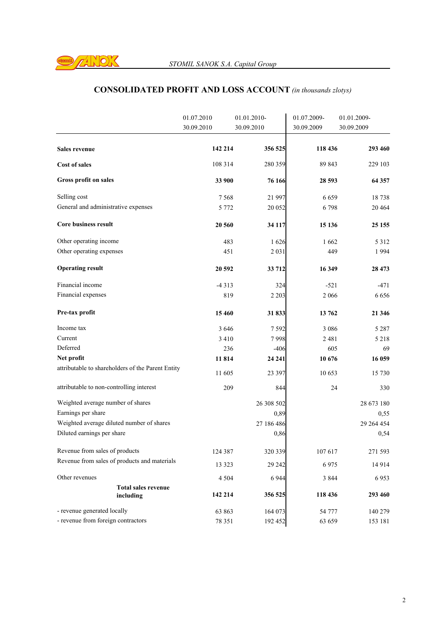

# **CONSOLIDATED PROFIT AND LOSS ACCOUNT** *(in thousands zlotys)*

|                                                   | 01.07.2010 | 01.01.2010- | 01.07.2009- | 01.01.2009-<br>30.09.2009 |  |
|---------------------------------------------------|------------|-------------|-------------|---------------------------|--|
|                                                   | 30.09.2010 | 30.09.2010  | 30.09.2009  |                           |  |
|                                                   |            |             |             |                           |  |
| <b>Sales revenue</b>                              | 142 214    | 356 525     | 118 436     | 293 460                   |  |
| <b>Cost of sales</b>                              | 108 314    | 280 359     | 89 843      | 229 103                   |  |
| Gross profit on sales                             | 33 900     | 76 166      | 28 593      | 64 357                    |  |
| Selling cost                                      | 7568       | 21 997      | 6659        | 18738                     |  |
| General and administrative expenses               | 5 7 7 2    | 20 052      | 6798        | 20 4 64                   |  |
| <b>Core business result</b>                       | 20 560     | 34 117      | 15 136      | 25 15 5                   |  |
| Other operating income                            | 483        | 1626        | 1662        | 5 3 1 2                   |  |
| Other operating expenses                          | 451        | 2031        | 449         | 1994                      |  |
| <b>Operating result</b>                           | 20 592     | 33 712      | 16 349      | 28 473                    |  |
| Financial income                                  | $-4313$    | 324         | $-521$      | $-471$                    |  |
| Financial expenses                                | 819        | 2 2 0 3     | 2 0 6 6     | 6656                      |  |
| Pre-tax profit                                    | 15 4 60    | 31 833      | 13762       | 21 346                    |  |
| Income tax                                        | 3646       | 7592        | 3 0 8 6     | 5 287                     |  |
| Current                                           | 3 4 1 0    | 7998        | 2 4 8 1     | 5 2 1 8                   |  |
| Deferred                                          | 236        | $-406$      | 605         | 69                        |  |
| Net profit                                        | 11814      | 24 24 1     | 10 676      | 16 059                    |  |
| attributable to shareholders of the Parent Entity | 11 605     | 23 397      | 10 653      | 15 730                    |  |
| attributable to non-controlling interest          | 209        | 844         | 24          | 330                       |  |
| Weighted average number of shares                 |            | 26 308 502  |             | 28 673 180                |  |
| Earnings per share                                |            | 0,89        |             | 0,55                      |  |
| Weighted average diluted number of shares         |            | 27 186 486  |             | 29 264 454                |  |
| Diluted earnings per share                        |            | 0,86        |             | 0,54                      |  |
| Revenue from sales of products                    | 124 387    | 320 339     | 107 617     | 271 593                   |  |
| Revenue from sales of products and materials      | 13 3 23    | 29 24 2     | 6975        | 14 9 14                   |  |
| Other revenues                                    | 4 5 0 4    | 6 9 4 4     | 3 8 4 4     | 6953                      |  |
| <b>Total sales revenue</b>                        | 142 214    | 356 525     | 118 436     | 293 460                   |  |
| including                                         |            |             |             |                           |  |
| - revenue generated locally                       | 63 863     | 164 073     | 54 777      | 140 279                   |  |
| - revenue from foreign contractors                | 78 351     | 192 452     | 63 659      | 153 181                   |  |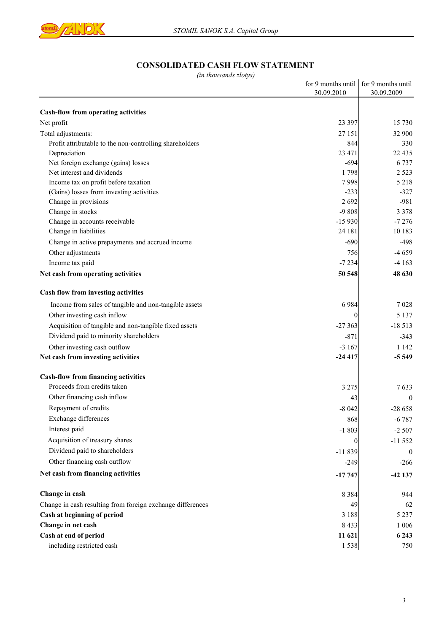

### **CONSOLIDATED CASH FLOW STATEMENT**

*(in thousands zlotys)*

|                                                            |                  | for 9 months until for 9 months until |
|------------------------------------------------------------|------------------|---------------------------------------|
|                                                            | 30.09.2010       | 30.09.2009                            |
| <b>Cash-flow from operating activities</b>                 |                  |                                       |
| Net profit                                                 | 23 397           | 15 730                                |
| Total adjustments:                                         | 27 15 1          | 32 900                                |
| Profit attributable to the non-controlling shareholders    | 844              | 330                                   |
| Depreciation                                               | 23 471           | 22 4 35                               |
| Net foreign exchange (gains) losses                        | $-694$           | 6 7 3 7                               |
| Net interest and dividends                                 | 1798             | 2 5 2 3                               |
| Income tax on profit before taxation                       | 7998             | 5 2 1 8                               |
| (Gains) losses from investing activities                   | $-233$           | $-327$                                |
| Change in provisions                                       | 2692             | $-981$                                |
| Change in stocks                                           | $-9808$          | 3 3 7 8                               |
| Change in accounts receivable                              | $-15930$         | $-7276$                               |
| Change in liabilities                                      | 24 181           | 10 183                                |
| Change in active prepayments and accrued income            | $-690$           | $-498$                                |
| Other adjustments                                          | 756              | $-4659$                               |
| Income tax paid                                            | $-7234$          | $-4163$                               |
| Net cash from operating activities                         | 50 548           | 48 630                                |
| Cash flow from investing activities                        |                  |                                       |
| Income from sales of tangible and non-tangible assets      | 6984             | 7028                                  |
| Other investing cash inflow                                | $\mathbf{0}$     | 5 1 3 7                               |
| Acquisition of tangible and non-tangible fixed assets      | $-27363$         | $-18513$                              |
| Dividend paid to minority shareholders                     | $-871$           | $-343$                                |
| Other investing cash outflow                               | $-3167$          | 1 1 4 2                               |
| Net cash from investing activities                         | $-24417$         | $-5549$                               |
| <b>Cash-flow from financing activities</b>                 |                  |                                       |
| Proceeds from credits taken                                | 3 2 7 5          | 7633                                  |
| Other financing cash inflow                                | 43               | $\theta$                              |
| Repayment of credits                                       | $-8042$          | $-28658$                              |
| Exchange differences                                       | 868              | $-6787$                               |
| Interest paid                                              | $-1803$          | $-2507$                               |
| Acquisition of treasury shares                             | $\boldsymbol{0}$ | $-11552$                              |
| Dividend paid to shareholders                              | $-11839$         | $\theta$                              |
| Other financing cash outflow                               | $-249$           | $-266$                                |
| Net cash from financing activities                         |                  |                                       |
|                                                            | $-17747$         | $-42137$                              |
| Change in cash                                             | 8 3 8 4          | 944                                   |
| Change in cash resulting from foreign exchange differences | 49               | 62                                    |
| Cash at beginning of period                                | 3 1 8 8          | 5 2 3 7                               |
| Change in net cash                                         | 8 4 3 3          | 1 0 0 6                               |
| Cash at end of period                                      | 11 621           | 6 2 4 3                               |
| including restricted cash                                  | 1538             | 750                                   |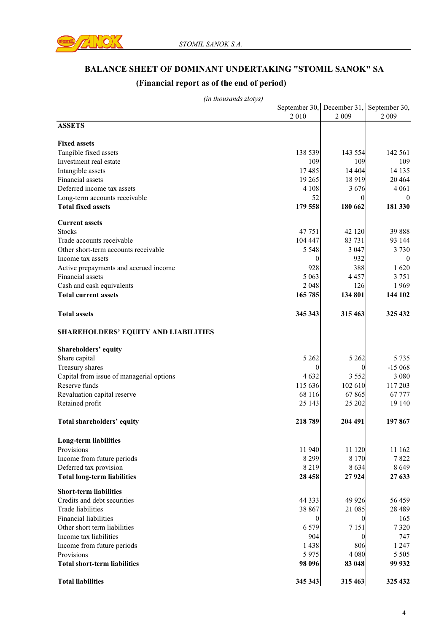

### **BALANCE SHEET OF DOMINANT UNDERTAKING "STOMIL SANOK" SA**

#### **(Financial report as of the end of period)**

| (in thousands zlotys)                       |          |                                          |          |
|---------------------------------------------|----------|------------------------------------------|----------|
|                                             |          | September 30, December 31, September 30, |          |
|                                             | 2010     | 2 0 0 9                                  | 2 0 0 9  |
| <b>ASSETS</b>                               |          |                                          |          |
|                                             |          |                                          |          |
| <b>Fixed assets</b>                         |          |                                          |          |
| Tangible fixed assets                       | 138 539  | 143 554                                  | 142 561  |
| Investment real estate                      | 109      | 109                                      | 109      |
| Intangible assets                           | 17485    | 14 4 04                                  | 14 135   |
|                                             |          | 18919                                    |          |
| Financial assets                            | 19 26 5  |                                          | 20464    |
| Deferred income tax assets                  | 4 1 0 8  | 3676                                     | 4 0 6 1  |
| Long-term accounts receivable               | 52       | 0                                        | $\theta$ |
| <b>Total fixed assets</b>                   | 179 558  | 180 662                                  | 181 330  |
|                                             |          |                                          |          |
| <b>Current assets</b>                       |          |                                          |          |
| <b>Stocks</b>                               | 47 751   | 42 120                                   | 39888    |
| Trade accounts receivable                   | 104 447  | 83 731                                   | 93 144   |
| Other short-term accounts receivable        | 5 5 4 8  | 3 0 4 7                                  | 3 7 3 0  |
| Income tax assets                           | 0        | 932                                      | $\theta$ |
| Active prepayments and accrued income       | 928      | 388                                      | 1620     |
| Financial assets                            | 5 0 6 3  | 4457                                     | 3 7 5 1  |
| Cash and cash equivalents                   | 2048     | 126                                      | 1969     |
| <b>Total current assets</b>                 | 165 785  | 134 801                                  | 144 102  |
|                                             |          |                                          |          |
|                                             |          |                                          |          |
| <b>Total assets</b>                         | 345 343  | 315 463                                  | 325 432  |
|                                             |          |                                          |          |
| <b>SHAREHOLDERS' EQUITY AND LIABILITIES</b> |          |                                          |          |
|                                             |          |                                          |          |
| Shareholders' equity                        |          |                                          |          |
| Share capital                               | 5 2 6 2  | 5 2 6 2                                  | 5 7 3 5  |
| Treasury shares                             | 0        | $\theta$                                 | $-15068$ |
| Capital from issue of managerial options    | 4 6 3 2  | 3 5 5 2                                  | 3 0 8 0  |
| Reserve funds                               | 115 636  | 102 610                                  | 117 203  |
| Revaluation capital reserve                 | 68 116   | 67865                                    | 67 777   |
| Retained profit                             | 25 143   | 25 202                                   | 19 140   |
|                                             |          |                                          |          |
| Total shareholders' equity                  | 218 789  | 204 491                                  | 197867   |
|                                             |          |                                          |          |
| <b>Long-term liabilities</b>                |          |                                          |          |
| Provisions                                  | 11 940   | 11 120                                   | 11 162   |
|                                             |          |                                          |          |
| Income from future periods                  | 8 2 9 9  | 8 1 7 0                                  | 7822     |
| Deferred tax provision                      | 8 2 1 9  | 8634                                     | 8649     |
| <b>Total long-term liabilities</b>          | 28 4 58  | 27924                                    | 27 633   |
| <b>Short-term liabilities</b>               |          |                                          |          |
|                                             |          |                                          |          |
| Credits and debt securities                 | 44 3 3 3 | 49 9 26                                  | 56 459   |
| <b>Trade liabilities</b>                    | 38 867   | 21 085                                   | 28 4 8 9 |
| Financial liabilities                       | 0        | $\theta$                                 | 165      |
| Other short term liabilities                | 6579     | 7 1 5 1                                  | 7320     |
| Income tax liabilities                      | 904      | $\theta$                                 | 747      |
| Income from future periods                  | 1438     | 806                                      | 1 2 4 7  |
| Provisions                                  | 5975     | 4 0 8 0                                  | 5 5 0 5  |
| <b>Total short-term liabilities</b>         | 98 0 96  | 83 048                                   | 99 932   |
|                                             |          |                                          |          |
| <b>Total liabilities</b>                    | 345 343  | 315 463                                  | 325 432  |
|                                             |          |                                          |          |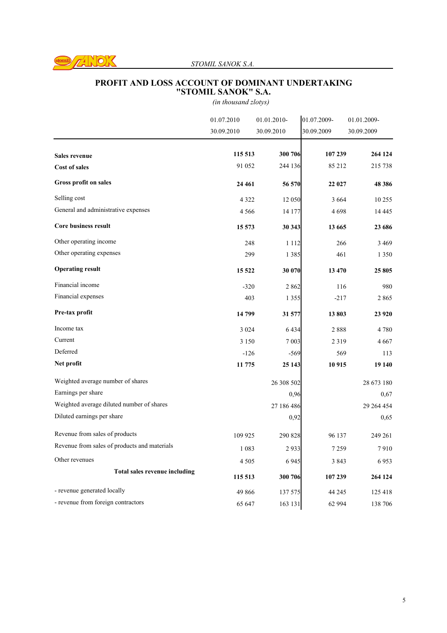

#### *STOMIL SANOK S.A.*

#### **PROFIT AND LOSS ACCOUNT OF DOMINANT UNDERTAKING "STOMIL SANOK" S.A.**

*(in thousand zlotys)*

|                                              | 01.07.2010 | 01.01.2010- | 01.07.2009- | 01.01.2009- |
|----------------------------------------------|------------|-------------|-------------|-------------|
|                                              | 30.09.2010 | 30.09.2010  | 30.09.2009  | 30.09.2009  |
|                                              | 115 513    | 300 706     | 107 239     | 264 124     |
| <b>Sales revenue</b>                         | 91 052     | 244 136     | 85 212      | 215 738     |
| <b>Cost of sales</b>                         |            |             |             |             |
| Gross profit on sales                        | 24 4 61    | 56 570      | 22 027      | 48 386      |
| Selling cost                                 | 4 3 2 2    | 12 050      | 3 6 6 4     | 10 255      |
| General and administrative expenses          | 4566       | 14 177      | 4698        | 14 4 45     |
| <b>Core business result</b>                  | 15 573     | 30 343      | 13 665      | 23 686      |
| Other operating income                       | 248        | 1 1 1 2     | 266         | 3469        |
| Other operating expenses                     | 299        | 1 3 8 5     | 461         | 1 3 5 0     |
| <b>Operating result</b>                      | 15 5 22    | 30 070      | 13 470      | 25805       |
| Financial income                             | $-320$     | 2862        | 116         | 980         |
| Financial expenses                           | 403        | 1 3 5 5     | $-217$      | 2865        |
| Pre-tax profit                               | 14 799     | 31 577      | 13803       | 23 9 20     |
| Income tax                                   | 3 0 2 4    | 6 4 3 4     | 2888        | 4780        |
| Current                                      | 3 1 5 0    | 7 0 0 3     | 2 3 1 9     | 4667        |
| Deferred                                     | $-126$     | $-569$      | 569         | 113         |
| Net profit                                   | 11 775     | 25 143      | 10 915      | 19 140      |
| Weighted average number of shares            |            | 26 308 502  |             | 28 673 180  |
| Earnings per share                           |            | 0,96        |             | 0,67        |
| Weighted average diluted number of shares    |            | 27 186 486  |             | 29 264 454  |
| Diluted earnings per share                   |            | 0,92        |             | 0,65        |
| Revenue from sales of products               | 109 925    | 290 828     | 96 137      | 249 261     |
| Revenue from sales of products and materials | 1 0 8 3    | 2933        | 7259        | 7910        |
| Other revenues                               | 4 5 0 5    | 6 9 4 5     | 3843        | 6953        |
| Total sales revenue including                | 115 513    | 300 706     | 107 239     | 264 124     |
| - revenue generated locally                  | 49 866     | 137 575     | 44 245      | 125 418     |
| - revenue from foreign contractors           | 65 647     | 163 131     | 62 994      | 138 706     |